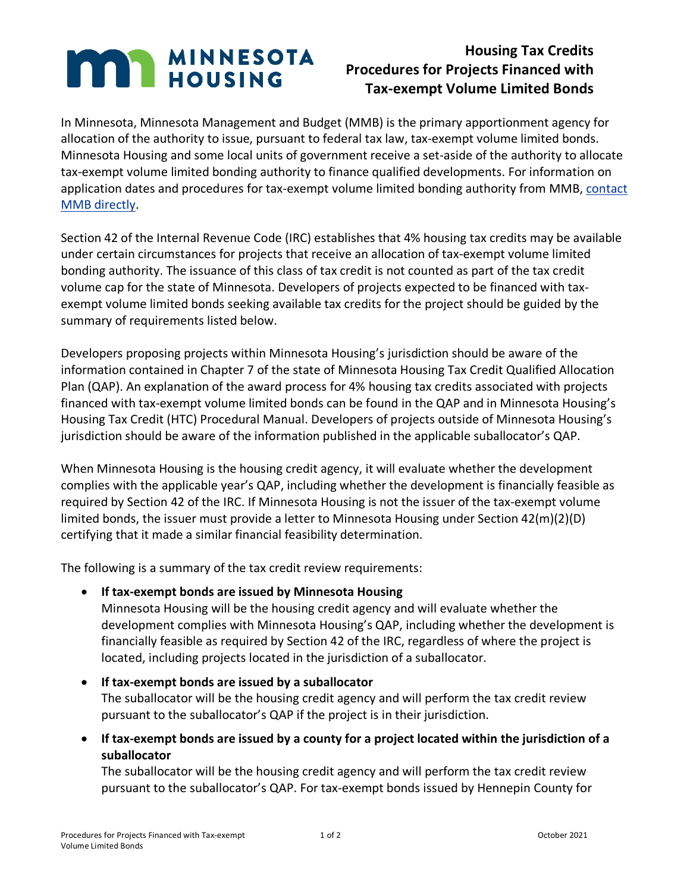## **MAN MINNESOTA**

## **Housing Tax Credits Procedures for Projects Financed with Tax-exempt Volume Limited Bonds**

In Minnesota, Minnesota Management and Budget (MMB) is the primary apportionment agency for allocation of the authority to issue, pursuant to federal tax law, tax-exempt volume limited bonds. Minnesota Housing and some local units of government receive a set-aside of the authority to allocate tax-exempt volume limited bonding authority to finance qualified developments. For information on application dates and procedures for tax-exempt volume limited bonding authority from MMB, [contact](https://mn.gov/mmb/debt-management/bonding/federal-bond-program)  [MMB directly.](https://mn.gov/mmb/debt-management/bonding/federal-bond-program)

Section 42 of the Internal Revenue Code (IRC) establishes that 4% housing tax credits may be available under certain circumstances for projects that receive an allocation of tax-exempt volume limited bonding authority. The issuance of this class of tax credit is not counted as part of the tax credit volume cap for the state of Minnesota. Developers of projects expected to be financed with taxexempt volume limited bonds seeking available tax credits for the project should be guided by the summary of requirements listed below.

Developers proposing projects within Minnesota Housing's jurisdiction should be aware of the information contained in Chapter 7 of the state of Minnesota Housing Tax Credit Qualified Allocation Plan (QAP). An explanation of the award process for 4% housing tax credits associated with projects financed with tax-exempt volume limited bonds can be found in the QAP and in Minnesota Housing's Housing Tax Credit (HTC) Procedural Manual. Developers of projects outside of Minnesota Housing's jurisdiction should be aware of the information published in the applicable suballocator's QAP.

When Minnesota Housing is the housing credit agency, it will evaluate whether the development complies with the applicable year's QAP, including whether the development is financially feasible as required by Section 42 of the IRC. If Minnesota Housing is not the issuer of the tax-exempt volume limited bonds, the issuer must provide a letter to Minnesota Housing under Section 42(m)(2)(D) certifying that it made a similar financial feasibility determination.

The following is a summary of the tax credit review requirements:

• **If tax-exempt bonds are issued by Minnesota Housing**

Minnesota Housing will be the housing credit agency and will evaluate whether the development complies with Minnesota Housing's QAP, including whether the development is financially feasible as required by Section 42 of the IRC, regardless of where the project is located, including projects located in the jurisdiction of a suballocator.

- **If tax-exempt bonds are issued by a suballocator** The suballocator will be the housing credit agency and will perform the tax credit review pursuant to the suballocator's QAP if the project is in their jurisdiction.
- **If tax-exempt bonds are issued by a county for a project located within the jurisdiction of a suballocator**

The suballocator will be the housing credit agency and will perform the tax credit review pursuant to the suballocator's QAP. For tax-exempt bonds issued by Hennepin County for